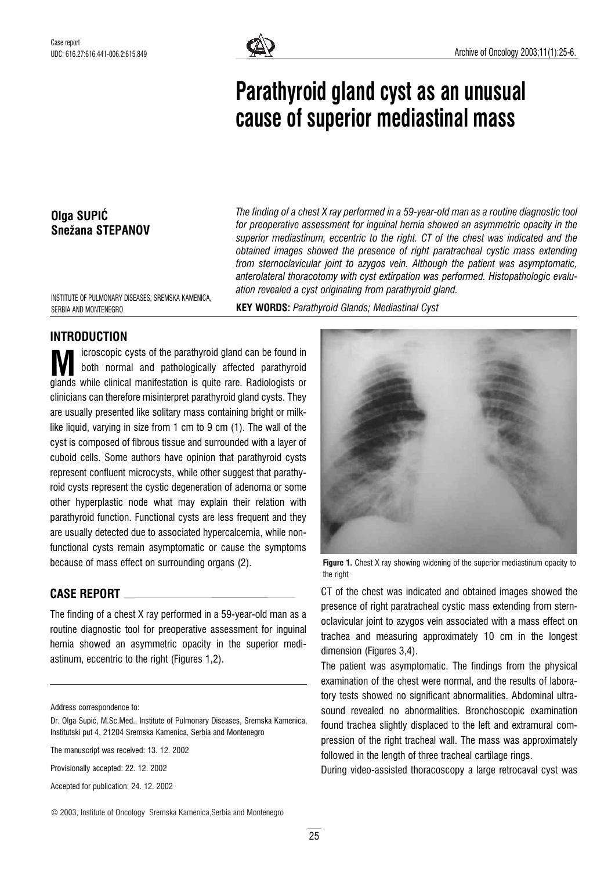

# Parathyroid gland cyst as an unusual cause of superior mediastinal mass

#### Olga SUPIĆ Snežana STEPANOV

The finding of a chest X ray performed in a 59-year-old man as a routine diagnostic tool for preoperative assessment for inguinal hernia showed an asymmetric opacity in the superior mediastinum, eccentric to the right. CT of the chest was indicated and the obtained images showed the presence of right paratracheal cystic mass extending from sternoclavicular joint to azygos vein. Although the patient was asymptomatic, anterolateral thoracotomy with cyst extirpation was performed. Histopathologic evaluation revealed a cyst originating from parathyroid gland.

INSTITUTE OF PULMONARY DISEASES, SREMSKA KAMENICA, SERBIA AND MONTENEGRO

KEY WORDS: Parathyroid Glands; Mediastinal Cyst

## INTRODUCTION

icroscopic cysts of the parathyroid gland can be found in both normal and pathologically affected parathyroid M icroscopic cysts of the parathyroid gland can be found in<br>glands while clinical manifestation is quite rare. Radiologists or clinicians can therefore misinterpret parathyroid gland cysts. They are usually presented like solitary mass containing bright or milklike liquid, varying in size from 1 cm to 9 cm (1). The wall of the cyst is composed of fibrous tissue and surrounded with a layer of cuboid cells. Some authors have opinion that parathyroid cysts represent confluent microcysts, while other suggest that parathyroid cysts represent the cystic degeneration of adenoma or some other hyperplastic node what may explain their relation with parathyroid function. Functional cysts are less frequent and they are usually detected due to associated hypercalcemia, while nonfunctional cysts remain asymptomatic or cause the symptoms because of mass effect on surrounding organs (2).

## CASE REPORT

The finding of a chest X ray performed in a 59-year-old man as a routine diagnostic tool for preoperative assessment for inguinal hernia showed an asymmetric opacity in the superior mediastinum, eccentric to the right (Figures 1,2).

Address correspondence to:

The manuscript was received: 13. 12. 2002

Provisionally accepted: 22. 12. 2002

Accepted for publication: 24. 12. 2002

Figure 1. Chest X ray showing widening of the superior mediastinum opacity to the right

CT of the chest was indicated and obtained images showed the presence of right paratracheal cystic mass extending from sternoclavicular joint to azygos vein associated with a mass effect on trachea and measuring approximately 10 cm in the longest dimension (Figures 3.4).

The patient was asymptomatic. The findings from the physical examination of the chest were normal, and the results of laboratory tests showed no significant abnormalities. Abdominal ultrasound revealed no abnormalities. Bronchoscopic examination found trachea slightly displaced to the left and extramural compression of the right tracheal wall. The mass was approximately followed in the length of three tracheal cartilage rings.

During video-assisted thoracoscopy a large retrocaval cyst was

© 2003, Institute of Oncology Sremska Kamenica,Serbia and Montenegro

Dr. Olga Supić, M.Sc.Med., Institute of Pulmonary Diseases, Sremska Kamenica, Institutski put 4, 21204 Sremska Kamenica, Serbia and Montenegro